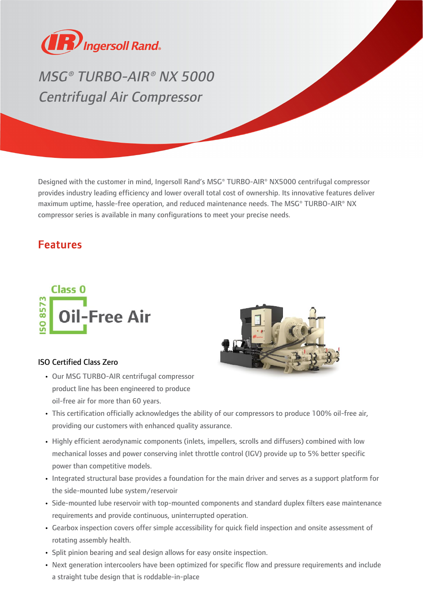

# MSG® TURBO-AIR® NX 5000 Centrifugal Air Compressor

Designed with the customer in mind, Ingersoll Rand's MSG® TURBO-AIR® NX5000 centrifugal compressor provides industry leading efficiency and lower overall total cost of ownership. Its innovative features deliver maximum uptime, hassle-free operation, and reduced maintenance needs. The MSG® TURBO-AIR® NX compressor series is available in many configurations to meet your precise needs.

### Features

# Class<sub>0</sub> 857 il-Free Air

#### ISO Certified Class Zero

• Our MSG TURBO-AIR centrifugal compressor product line has been engineered to produce oil-free air for more than 60 years.



- This certification officially acknowledges the ability of our compressors to produce 100% oil-free air, providing our customers with enhanced quality assurance.
- Highly efficient aerodynamic components (inlets, impellers, scrolls and diffusers) combined with low mechanical losses and power conserving inlet throttle control (IGV) provide up to 5% better specific power than competitive models.
- Integrated structural base provides a foundation for the main driver and serves as a support platform for the side-mounted lube system/reservoir
- Side-mounted lube reservoir with top-mounted components and standard duplex filters ease maintenance requirements and provide continuous, uninterrupted operation.
- Gearbox inspection covers offer simple accessibility for quick field inspection and onsite assessment of rotating assembly health.
- Split pinion bearing and seal design allows for easy onsite inspection.
- Next generation intercoolers have been optimized for specific flow and pressure requirements and include a straight tube design that is roddable-in-place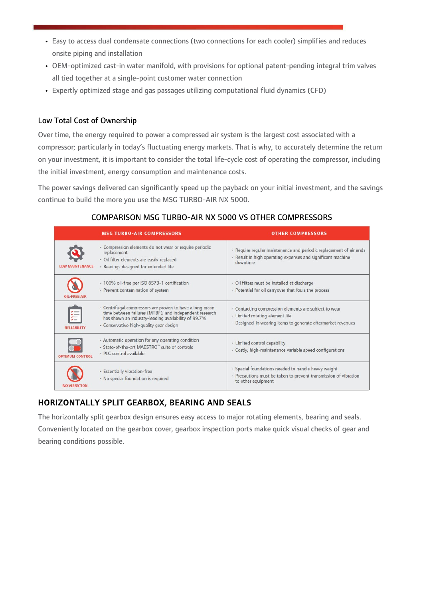- Easy to access dual condensate connections (two connections for each cooler) simplifies and reduces onsite piping and installation
- OEM-optimized cast-in water manifold, with provisions for optional patent-pending integral trim valves all tied together at a single-point customer water connection
- Expertly optimized stage and gas passages utilizing computational fluid dynamics (CFD)

#### Low Total Cost of Ownership

Over time, the energy required to power a compressed air system is the largest cost associated with a compressor; particularly in today's fluctuating energy markets. That is why, to accurately determine the return on your investment, it is important to consider the total life-cycle cost of operating the compressor, including the initial investment, energy consumption and maintenance costs.

The power savings delivered can significantly speed up the payback on your initial investment, and the savings continue to build the more you use the MSG TURBO-AIR NX 5000.

#### **MSG TURBO-AIR COMPRESSORS OTHER COMPRESSORS** · Compression elements do not wear or require periodic · Require regular maintenance and periodic replacement of air ends replacement · Result in high operating expenses and significant machine · Oil filter elements are easily replaced downtime **AINTENANCE** . Bearings designed for extended life · 100% oil-free per ISO 8573-1 certification · Oil filters must be installed at discharge À · Potential for oil carryover that fouls the process · Prevent contamination of system OIL-FREE AIR · Centrifugal compressors are proven to have a long mean · Contacting compression elements are subject to wear time between failures (MTBF), and independent research · Limited rotating element life has shown an industry-leading availability of 99.7% - Designed-in wearing items to generate aftermarket revenues · Conservative high-quality gear design **RELIABILITY** • Automatic operation for any operating condition · Limited control capability · State-of-the-art MAESTRO" suite of controls · Costly, high-maintenance variable speed configurations · PLC control available **OPTIMUM CONTROL** · Special foundations needed to handle heavy weight · Essentially vibration-free - Precautions must be taken to prevent transmission of vibration · No special foundation is required to other equipment **NO VIBRATION**

#### COMPARISON MSG TURBO-AIR NX 5000 VS OTHER COMPRESSORS

### HORIZONTALLY SPLIT GEARBOX, BEARING AND SEALS

The horizontally split gearbox design ensures easy access to major rotating elements, bearing and seals. Conveniently located on the gearbox cover, gearbox inspection ports make quick visual checks of gear and bearing conditions possible.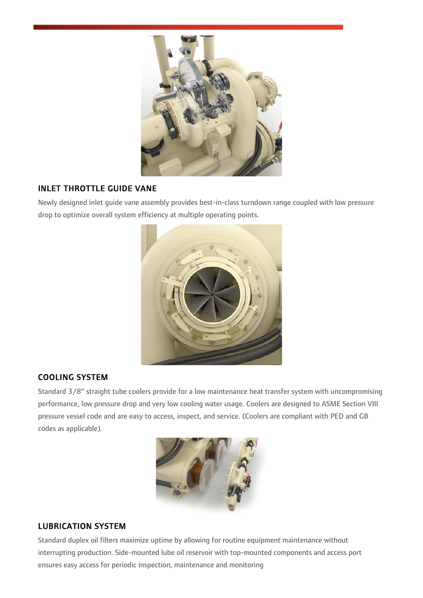

#### INLET THROTTLE GUIDE VANE

Newly designed inlet guide vane assembly provides best-in-class turndown range coupled with low pressure drop to optimize overall system efficiency at multiple operating points.



#### COOLING SYSTEM

Standard 3/8" straight tube coolers provide for a low maintenance heat transfer system with uncompromising performance, low pressure drop and very low cooling water usage. Coolers are designed to ASME Section VIII pressure vessel code and are easy to access, inspect, and service. (Coolers are compliant with PED and GB codes as applicable).



#### LUBRICATION SYSTEM

Standard duplex oil filters maximize uptime by allowing for routine equipment maintenance without interrupting production. Side-mounted lube oil reservoir with top-mounted components and access port ensures easy access for periodic inspection, maintenance and monitoring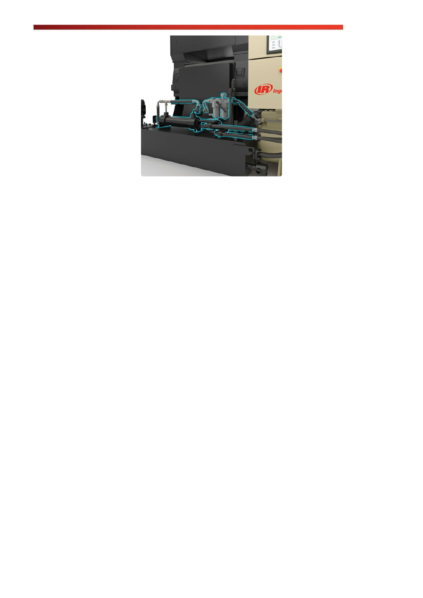